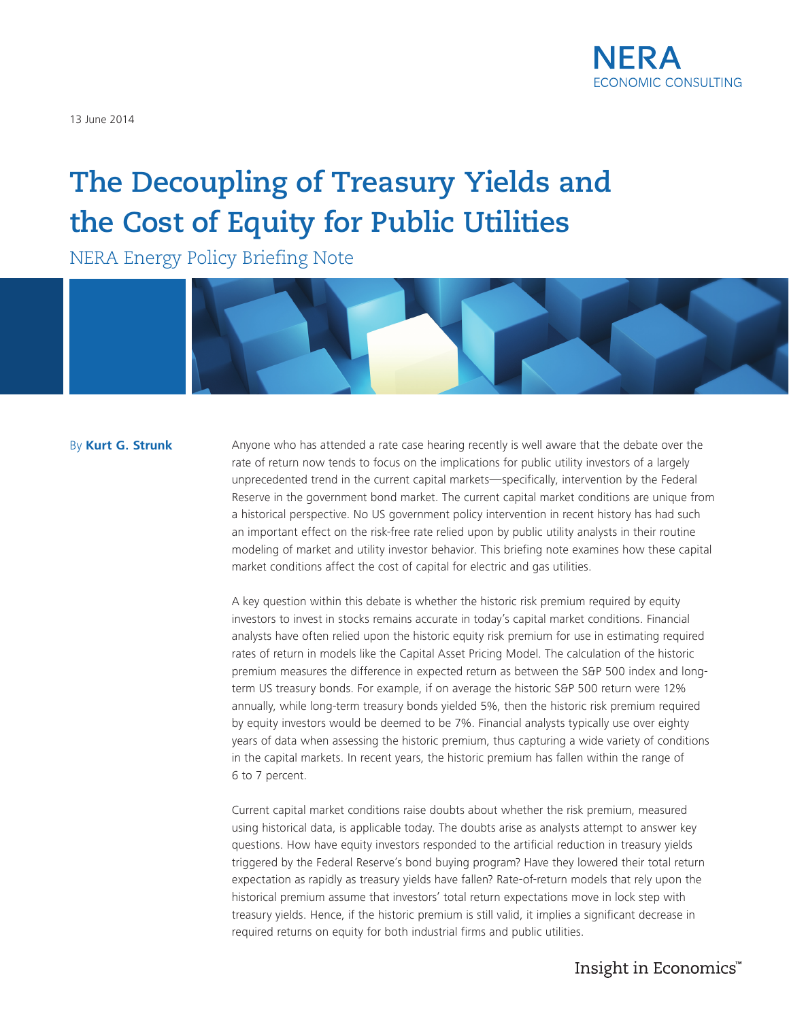

13 June 2014

# **The Decoupling of Treasury Yields and the Cost of Equity for Public Utilities**

NERA Energy Policy Briefing Note



## By **Kurt G. Strunk**

Anyone who has attended a rate case hearing recently is well aware that the debate over the rate of return now tends to focus on the implications for public utility investors of a largely unprecedented trend in the current capital markets—specifically, intervention by the Federal Reserve in the government bond market. The current capital market conditions are unique from a historical perspective. No US government policy intervention in recent history has had such an important effect on the risk-free rate relied upon by public utility analysts in their routine modeling of market and utility investor behavior. This briefing note examines how these capital market conditions affect the cost of capital for electric and gas utilities.

A key question within this debate is whether the historic risk premium required by equity investors to invest in stocks remains accurate in today's capital market conditions. Financial analysts have often relied upon the historic equity risk premium for use in estimating required rates of return in models like the Capital Asset Pricing Model. The calculation of the historic premium measures the difference in expected return as between the S&P 500 index and longterm US treasury bonds. For example, if on average the historic S&P 500 return were 12% annually, while long-term treasury bonds yielded 5%, then the historic risk premium required by equity investors would be deemed to be 7%. Financial analysts typically use over eighty years of data when assessing the historic premium, thus capturing a wide variety of conditions in the capital markets. In recent years, the historic premium has fallen within the range of 6 to 7 percent.

Current capital market conditions raise doubts about whether the risk premium, measured using historical data, is applicable today. The doubts arise as analysts attempt to answer key questions. How have equity investors responded to the artificial reduction in treasury yields triggered by the Federal Reserve's bond buying program? Have they lowered their total return expectation as rapidly as treasury yields have fallen? Rate-of-return models that rely upon the historical premium assume that investors' total return expectations move in lock step with treasury yields. Hence, if the historic premium is still valid, it implies a significant decrease in required returns on equity for both industrial firms and public utilities.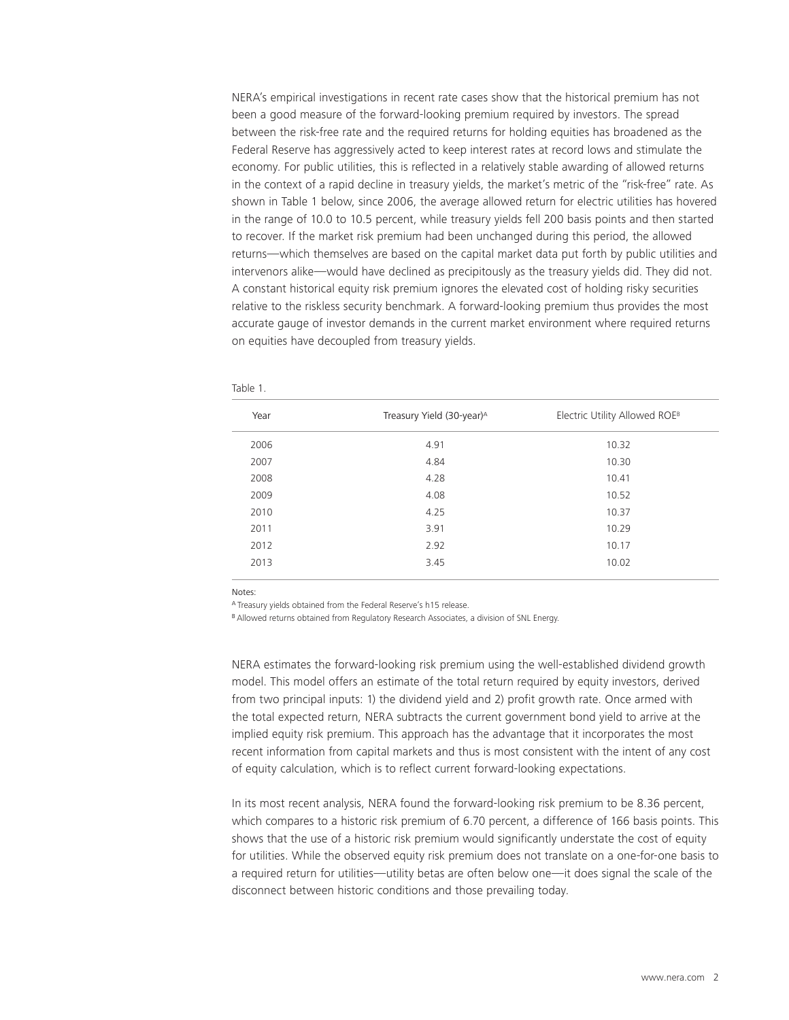NERA's empirical investigations in recent rate cases show that the historical premium has not been a good measure of the forward-looking premium required by investors. The spread between the risk-free rate and the required returns for holding equities has broadened as the Federal Reserve has aggressively acted to keep interest rates at record lows and stimulate the economy. For public utilities, this is reflected in a relatively stable awarding of allowed returns in the context of a rapid decline in treasury yields, the market's metric of the "risk-free" rate. As shown in Table 1 below, since 2006, the average allowed return for electric utilities has hovered in the range of 10.0 to 10.5 percent, while treasury yields fell 200 basis points and then started to recover. If the market risk premium had been unchanged during this period, the allowed returns—which themselves are based on the capital market data put forth by public utilities and intervenors alike—would have declined as precipitously as the treasury yields did. They did not. A constant historical equity risk premium ignores the elevated cost of holding risky securities relative to the riskless security benchmark. A forward-looking premium thus provides the most accurate gauge of investor demands in the current market environment where required returns on equities have decoupled from treasury yields.

| Year | Treasury Yield (30-year) <sup>A</sup> | Electric Utility Allowed ROEB |
|------|---------------------------------------|-------------------------------|
| 2006 | 4.91                                  | 10.32                         |
| 2007 | 4.84                                  | 10.30                         |
| 2008 | 4.28                                  | 10.41                         |
| 2009 | 4.08                                  | 10.52                         |
| 2010 | 4.25                                  | 10.37                         |
| 2011 | 3.91                                  | 10.29                         |
| 2012 | 2.92                                  | 10.17                         |
| 2013 | 3.45                                  | 10.02                         |
|      |                                       |                               |

Table 1.

Notes:

<sup>A</sup>Treasury yields obtained from the Federal Reserve's h15 release.

B Allowed returns obtained from Regulatory Research Associates, a division of SNL Energy.

NERA estimates the forward-looking risk premium using the well-established dividend growth model. This model offers an estimate of the total return required by equity investors, derived from two principal inputs: 1) the dividend yield and 2) profit growth rate. Once armed with the total expected return, NERA subtracts the current government bond yield to arrive at the implied equity risk premium. This approach has the advantage that it incorporates the most recent information from capital markets and thus is most consistent with the intent of any cost of equity calculation, which is to reflect current forward-looking expectations.

In its most recent analysis, NERA found the forward-looking risk premium to be 8.36 percent, which compares to a historic risk premium of 6.70 percent, a difference of 166 basis points. This shows that the use of a historic risk premium would significantly understate the cost of equity for utilities. While the observed equity risk premium does not translate on a one-for-one basis to a required return for utilities—utility betas are often below one—it does signal the scale of the disconnect between historic conditions and those prevailing today.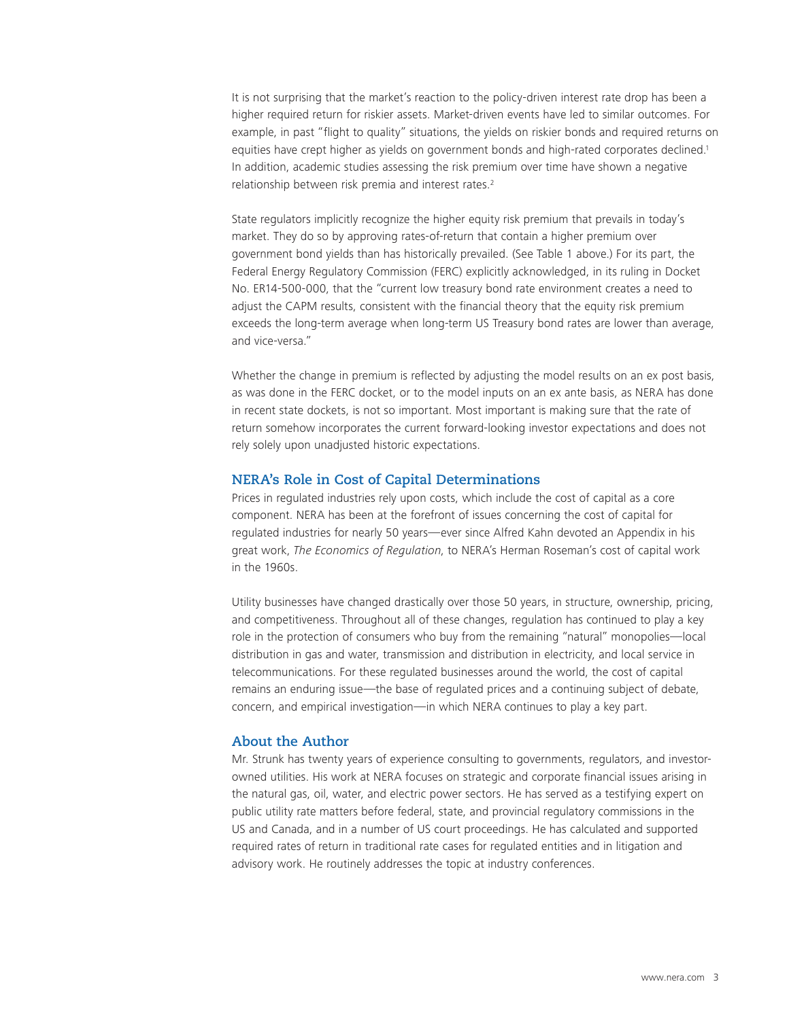It is not surprising that the market's reaction to the policy-driven interest rate drop has been a higher required return for riskier assets. Market-driven events have led to similar outcomes. For example, in past "flight to quality" situations, the yields on riskier bonds and required returns on equities have crept higher as yields on government bonds and high-rated corporates declined.1 In addition, academic studies assessing the risk premium over time have shown a negative relationship between risk premia and interest rates.2

State regulators implicitly recognize the higher equity risk premium that prevails in today's market. They do so by approving rates-of-return that contain a higher premium over government bond yields than has historically prevailed. (See Table 1 above.) For its part, the Federal Energy Regulatory Commission (FERC) explicitly acknowledged, in its ruling in Docket No. ER14-500-000, that the "current low treasury bond rate environment creates a need to adjust the CAPM results, consistent with the financial theory that the equity risk premium exceeds the long-term average when long-term US Treasury bond rates are lower than average, and vice-versa."

Whether the change in premium is reflected by adjusting the model results on an ex post basis, as was done in the FERC docket, or to the model inputs on an ex ante basis, as NERA has done in recent state dockets, is not so important. Most important is making sure that the rate of return somehow incorporates the current forward-looking investor expectations and does not rely solely upon unadjusted historic expectations.

# **NERA's Role in Cost of Capital Determinations**

Prices in regulated industries rely upon costs, which include the cost of capital as a core component. NERA has been at the forefront of issues concerning the cost of capital for regulated industries for nearly 50 years—ever since Alfred Kahn devoted an Appendix in his great work, *The Economics of Regulation*, to NERA's Herman Roseman's cost of capital work in the 1960s.

Utility businesses have changed drastically over those 50 years, in structure, ownership, pricing, and competitiveness. Throughout all of these changes, regulation has continued to play a key role in the protection of consumers who buy from the remaining "natural" monopolies—local distribution in gas and water, transmission and distribution in electricity, and local service in telecommunications. For these regulated businesses around the world, the cost of capital remains an enduring issue—the base of regulated prices and a continuing subject of debate, concern, and empirical investigation—in which NERA continues to play a key part.

# **About the Author**

Mr. Strunk has twenty years of experience consulting to governments, regulators, and investorowned utilities. His work at NERA focuses on strategic and corporate financial issues arising in the natural gas, oil, water, and electric power sectors. He has served as a testifying expert on public utility rate matters before federal, state, and provincial regulatory commissions in the US and Canada, and in a number of US court proceedings. He has calculated and supported required rates of return in traditional rate cases for regulated entities and in litigation and advisory work. He routinely addresses the topic at industry conferences.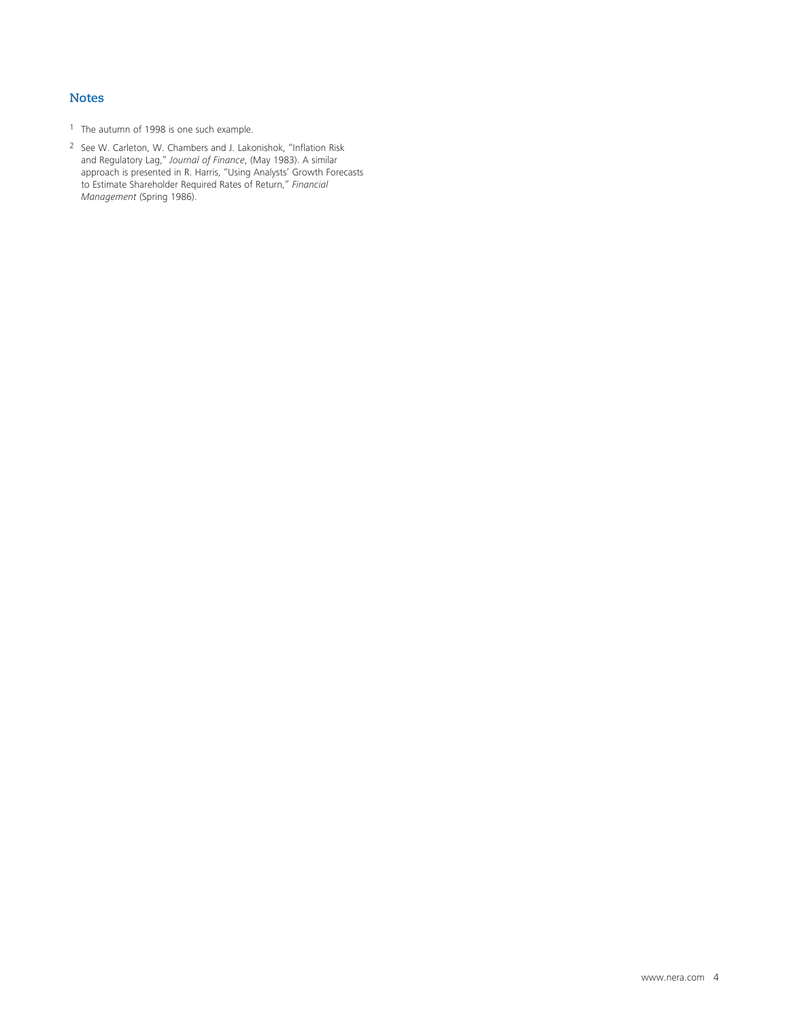#### **Notes**

- 1 The autumn of 1998 is one such example.
- 2 See W. Carleton, W. Chambers and J. Lakonishok, "Inflation Risk and Regulatory Lag," *Journal of Finance*, (May 1983). A similar approach is presented in R. Harris, "Using Analysts' Growth Forecasts to Estimate Shareholder Required Rates of Return," *Financial Management* (Spring 1986).